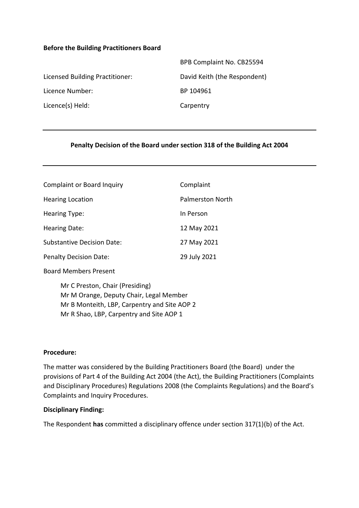#### **Before the Building Practitioners Board**

|                                 | BPB Complaint No. CB25594    |
|---------------------------------|------------------------------|
| Licensed Building Practitioner: | David Keith (the Respondent) |
| Licence Number:                 | BP 104961                    |
| Licence(s) Held:                | Carpentry                    |
|                                 |                              |

## **Penalty Decision of the Board under section 318 of the Building Act 2004**

| <b>Complaint or Board Inquiry</b> | Complaint               |
|-----------------------------------|-------------------------|
| <b>Hearing Location</b>           | <b>Palmerston North</b> |
| <b>Hearing Type:</b>              | In Person               |
| Hearing Date:                     | 12 May 2021             |
| <b>Substantive Decision Date:</b> | 27 May 2021             |
| <b>Penalty Decision Date:</b>     | 29 July 2021            |

Board Members Present

Mr C Preston, Chair (Presiding) Mr M Orange, Deputy Chair, Legal Member Mr B Monteith, LBP, Carpentry and Site AOP 2 Mr R Shao, LBP, Carpentry and Site AOP 1

#### **Procedure:**

The matter was considered by the Building Practitioners Board (the Board) under the provisions of Part 4 of the Building Act 2004 (the Act), the Building Practitioners (Complaints and Disciplinary Procedures) Regulations 2008 (the Complaints Regulations) and the Board's Complaints and Inquiry Procedures.

#### **Disciplinary Finding:**

The Respondent **has** committed a disciplinary offence under section 317(1)(b) of the Act.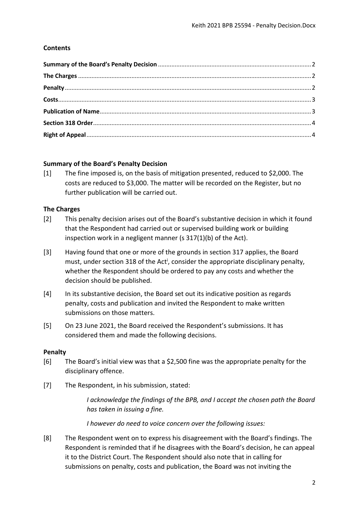## **Contents**

## <span id="page-1-0"></span>**Summary of the Board's Penalty Decision**

[1] The fine imposed is, on the basis of mitigation presented, reduced to \$2,000. The costs are reduced to \$3,000. The matter will be recorded on the Register, but no further publication will be carried out.

## <span id="page-1-1"></span>**The Charges**

- [2] This penalty decision arises out of the Board's substantive decision in which it found that the Respondent had carried out or supervised building work or building inspection work in a negligent manner (s 317(1)(b) of the Act).
- [3] Having found that one or more of the grounds in section 317 applies, the Board must, under section 318 of the Act<sup>i</sup>, consider the appropriate disciplinary penalty, whether the Respondent should be ordered to pay any costs and whether the decision should be published.
- [4] In its substantive decision, the Board set out its indicative position as regards penalty, costs and publication and invited the Respondent to make written submissions on those matters.
- [5] On 23 June 2021, the Board received the Respondent's submissions. It has considered them and made the following decisions.

## <span id="page-1-2"></span>**Penalty**

- [6] The Board's initial view was that a \$2,500 fine was the appropriate penalty for the disciplinary offence.
- [7] The Respondent, in his submission, stated:

*I acknowledge the findings of the BPB, and I accept the chosen path the Board has taken in issuing a fine.*

*I however do need to voice concern over the following issues:*

[8] The Respondent went on to express his disagreement with the Board's findings. The Respondent is reminded that if he disagrees with the Board's decision, he can appeal it to the District Court. The Respondent should also note that in calling for submissions on penalty, costs and publication, the Board was not inviting the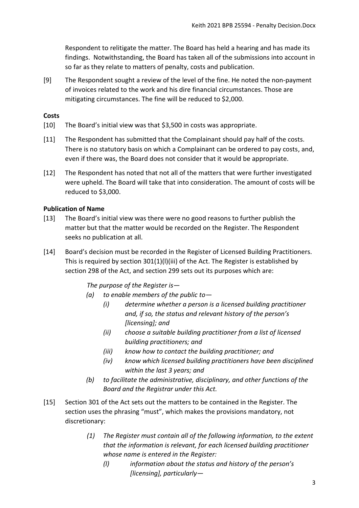Respondent to relitigate the matter. The Board has held a hearing and has made its findings. Notwithstanding, the Board has taken all of the submissions into account in so far as they relate to matters of penalty, costs and publication.

[9] The Respondent sought a review of the level of the fine. He noted the non-payment of invoices related to the work and his dire financial circumstances. Those are mitigating circumstances. The fine will be reduced to \$2,000.

## <span id="page-2-0"></span>**Costs**

- [10] The Board's initial view was that \$3,500 in costs was appropriate.
- [11] The Respondent has submitted that the Complainant should pay half of the costs. There is no statutory basis on which a Complainant can be ordered to pay costs, and, even if there was, the Board does not consider that it would be appropriate.
- [12] The Respondent has noted that not all of the matters that were further investigated were upheld. The Board will take that into consideration. The amount of costs will be reduced to \$3,000.

## <span id="page-2-1"></span>**Publication of Name**

- [13] The Board's initial view was there were no good reasons to further publish the matter but that the matter would be recorded on the Register. The Respondent seeks no publication at all.
- [14] Board's decision must be recorded in the Register of Licensed Building Practitioners. This is required by section  $301(1)(1)(iii)$  of the Act. The Register is established by section 298 of the Act, and section 299 sets out its purposes which are:

*The purpose of the Register is—*

- *(a) to enable members of the public to—*
	- *(i) determine whether a person is a licensed building practitioner and, if so, the status and relevant history of the person's [licensing]; and*
	- *(ii) choose a suitable building practitioner from a list of licensed building practitioners; and*
	- *(iii) know how to contact the building practitioner; and*
	- *(iv) know which licensed building practitioners have been disciplined within the last 3 years; and*
- *(b) to facilitate the administrative, disciplinary, and other functions of the Board and the Registrar under this Act.*
- [15] Section 301 of the Act sets out the matters to be contained in the Register. The section uses the phrasing "must", which makes the provisions mandatory, not discretionary:
	- *(1) The Register must contain all of the following information, to the extent that the information is relevant, for each licensed building practitioner whose name is entered in the Register:*
		- *(l) information about the status and history of the person's [licensing], particularly—*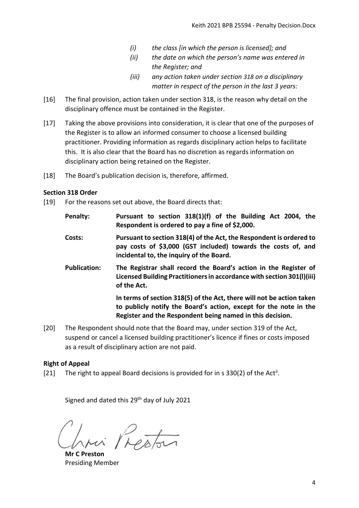- *(i) the class [in which the person is licensed]; and*
- *(ii) the date on which the person's name was entered in the Register; and*
- *(iii) any action taken under section [318](http://www.westlaw.co.nz/maf/wlnz/app/document?docguid=Idfae01b4e12411e08eefa443f89988a0&&src=rl&hitguid=I59069659e03411e08eefa443f89988a0&snippets=true&startChunk=1&endChunk=1&isTocNav=true&tocDs=AUNZ_NZ_LEGCOMM_TOC#anchor_I59069659e03411e08eefa443f89988a0) on a disciplinary matter in respect of the person in the last 3 years:*
- [16] The final provision, action taken under section 318, is the reason why detail on the disciplinary offence must be contained in the Register.
- [17] Taking the above provisions into consideration, it is clear that one of the purposes of the Register is to allow an informed consumer to choose a licensed building practitioner. Providing information as regards disciplinary action helps to facilitate this. It is also clear that the Board has no discretion as regards information on disciplinary action being retained on the Register.
- [18] The Board's publication decision is, therefore, affirmed.

## <span id="page-3-0"></span>**Section 318 Order**

- [19] For the reasons set out above, the Board directs that:
	- **Penalty: Pursuant to section 318(1)(f) of the Building Act 2004, the Respondent is ordered to pay a fine of \$2,000.**
	- **Costs: Pursuant to section 318(4) of the Act, the Respondent is ordered to pay costs of \$3,000 (GST included) towards the costs of, and incidental to, the inquiry of the Board.**
	- **Publication: The Registrar shall record the Board's action in the Register of Licensed Building Practitioners in accordance with section 301(l)(iii) of the Act.**

**In terms of section 318(5) of the Act, there will not be action taken to publicly notify the Board's action, except for the note in the Register and the Respondent being named in this decision.**

[20] The Respondent should note that the Board may, under section 319 of the Act, suspend or cancel a licensed building practitioner's licence if fines or costs imposed as a result of disciplinary action are not paid.

# <span id="page-3-1"></span>**Right of Appeal**

[21] The right to appeal Board decisions is provided for in s 330(2) of the Act<sup>ii</sup>.

Signed and dated this 29th day of July 2021

Prestor

**Mr C Preston** Presiding Member